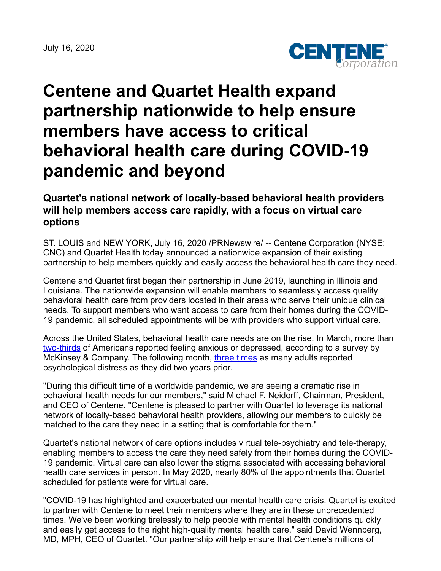July 16, 2020



# **Centene and Quartet Health expand partnership nationwide to help ensure members have access to critical behavioral health care during COVID-19 pandemic and beyond**

# **Quartet's national network of locally-based behavioral health providers will help members access care rapidly, with a focus on virtual care options**

ST. LOUIS and NEW YORK, July 16, 2020 /PRNewswire/ -- Centene Corporation (NYSE: CNC) and Quartet Health today announced a nationwide expansion of their existing partnership to help members quickly and easily access the behavioral health care they need.

Centene and Quartet first began their partnership in June 2019, launching in Illinois and Louisiana. The nationwide expansion will enable members to seamlessly access quality behavioral health care from providers located in their areas who serve their unique clinical needs. To support members who want access to care from their homes during the COVID-19 pandemic, all scheduled appointments will be with providers who support virtual care.

Across the United States, behavioral health care needs are on the rise. In March, more than [two-thirds](https://www.mckinsey.com/industries/healthcare-systems-and-services/our-insights/helping-us-healthcare-stakeholders-understand-the-human-side-of-the-covid-19-crisis) of Americans reported feeling anxious or depressed, according to a survey by McKinsey & Company. The following month, [three times](https://jamanetwork.com/journals/jama/fullarticle/2766941) as many adults reported psychological distress as they did two years prior.

"During this difficult time of a worldwide pandemic, we are seeing a dramatic rise in behavioral health needs for our members," said Michael F. Neidorff, Chairman, President, and CEO of Centene. "Centene is pleased to partner with Quartet to leverage its national network of locally-based behavioral health providers, allowing our members to quickly be matched to the care they need in a setting that is comfortable for them."

Quartet's national network of care options includes virtual tele-psychiatry and tele-therapy, enabling members to access the care they need safely from their homes during the COVID-19 pandemic. Virtual care can also lower the stigma associated with accessing behavioral health care services in person. In May 2020, nearly 80% of the appointments that Quartet scheduled for patients were for virtual care.

"COVID-19 has highlighted and exacerbated our mental health care crisis. Quartet is excited to partner with Centene to meet their members where they are in these unprecedented times. We've been working tirelessly to help people with mental health conditions quickly and easily get access to the right high-quality mental health care," said David Wennberg, MD, MPH, CEO of Quartet. "Our partnership will help ensure that Centene's millions of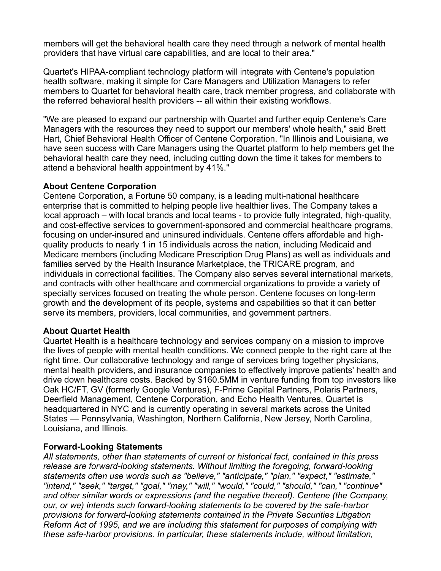members will get the behavioral health care they need through a network of mental health providers that have virtual care capabilities, and are local to their area."

Quartet's HIPAA-compliant technology platform will integrate with Centene's population health software, making it simple for Care Managers and Utilization Managers to refer members to Quartet for behavioral health care, track member progress, and collaborate with the referred behavioral health providers -- all within their existing workflows.

"We are pleased to expand our partnership with Quartet and further equip Centene's Care Managers with the resources they need to support our members' whole health," said Brett Hart, Chief Behavioral Health Officer of Centene Corporation. "In Illinois and Louisiana, we have seen success with Care Managers using the Quartet platform to help members get the behavioral health care they need, including cutting down the time it takes for members to attend a behavioral health appointment by 41%."

## **About Centene Corporation**

Centene Corporation, a Fortune 50 company, is a leading multi-national healthcare enterprise that is committed to helping people live healthier lives. The Company takes a local approach – with local brands and local teams - to provide fully integrated, high-quality, and cost-effective services to government-sponsored and commercial healthcare programs, focusing on under-insured and uninsured individuals. Centene offers affordable and highquality products to nearly 1 in 15 individuals across the nation, including Medicaid and Medicare members (including Medicare Prescription Drug Plans) as well as individuals and families served by the Health Insurance Marketplace, the TRICARE program, and individuals in correctional facilities. The Company also serves several international markets, and contracts with other healthcare and commercial organizations to provide a variety of specialty services focused on treating the whole person. Centene focuses on long-term growth and the development of its people, systems and capabilities so that it can better serve its members, providers, local communities, and government partners.

### **About Quartet Health**

Quartet Health is a healthcare technology and services company on a mission to improve the lives of people with mental health conditions. We connect people to the right care at the right time. Our collaborative technology and range of services bring together physicians, mental health providers, and insurance companies to effectively improve patients' health and drive down healthcare costs. Backed by \$160.5MM in venture funding from top investors like Oak HC/FT, GV (formerly Google Ventures), F-Prime Capital Partners, Polaris Partners, Deerfield Management, Centene Corporation, and Echo Health Ventures, Quartet is headquartered in NYC and is currently operating in several markets across the United States — Pennsylvania, Washington, Northern California, New Jersey, North Carolina, Louisiana, and Illinois.

### **Forward-Looking Statements**

*All statements, other than statements of current or historical fact, contained in this press release are forward-looking statements. Without limiting the foregoing, forward-looking statements often use words such as "believe," "anticipate," "plan," "expect," "estimate," "intend," "seek," "target," "goal," "may," "will," "would," "could," "should," "can," "continue" and other similar words or expressions (and the negative thereof). Centene (the Company, our, or we) intends such forward-looking statements to be covered by the safe-harbor provisions for forward-looking statements contained in the Private Securities Litigation Reform Act of 1995, and we are including this statement for purposes of complying with these safe-harbor provisions. In particular, these statements include, without limitation,*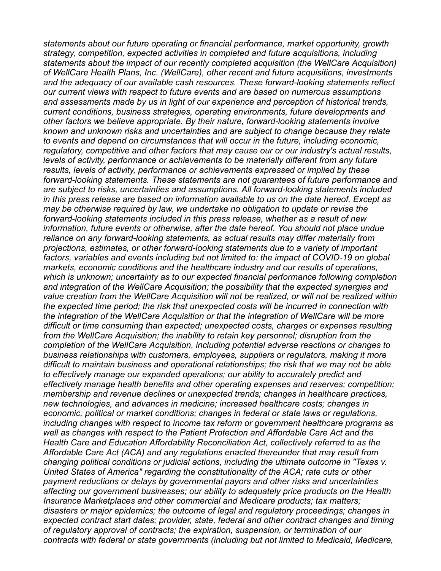*statements about our future operating or financial performance, market opportunity, growth strategy, competition, expected activities in completed and future acquisitions, including statements about the impact of our recently completed acquisition (the WellCare Acquisition) of WellCare Health Plans, Inc. (WellCare), other recent and future acquisitions, investments and the adequacy of our available cash resources. These forward-looking statements reflect our current views with respect to future events and are based on numerous assumptions and assessments made by us in light of our experience and perception of historical trends, current conditions, business strategies, operating environments, future developments and other factors we believe appropriate. By their nature, forward-looking statements involve known and unknown risks and uncertainties and are subject to change because they relate to events and depend on circumstances that will occur in the future, including economic, regulatory, competitive and other factors that may cause our or our industry's actual results, levels of activity, performance or achievements to be materially different from any future results, levels of activity, performance or achievements expressed or implied by these forward-looking statements. These statements are not guarantees of future performance and are subject to risks, uncertainties and assumptions. All forward-looking statements included in this press release are based on information available to us on the date hereof. Except as may be otherwise required by law, we undertake no obligation to update or revise the forward-looking statements included in this press release, whether as a result of new information, future events or otherwise, after the date hereof. You should not place undue reliance on any forward-looking statements, as actual results may differ materially from projections, estimates, or other forward-looking statements due to a variety of important factors, variables and events including but not limited to: the impact of COVID-19 on global markets, economic conditions and the healthcare industry and our results of operations, which is unknown; uncertainty as to our expected financial performance following completion and integration of the WellCare Acquisition; the possibility that the expected synergies and value creation from the WellCare Acquisition will not be realized, or will not be realized within the expected time period; the risk that unexpected costs will be incurred in connection with the integration of the WellCare Acquisition or that the integration of WellCare will be more difficult or time consuming than expected; unexpected costs, charges or expenses resulting from the WellCare Acquisition; the inability to retain key personnel; disruption from the completion of the WellCare Acquisition, including potential adverse reactions or changes to business relationships with customers, employees, suppliers or regulators, making it more difficult to maintain business and operational relationships; the risk that we may not be able to effectively manage our expanded operations; our ability to accurately predict and effectively manage health benefits and other operating expenses and reserves; competition; membership and revenue declines or unexpected trends; changes in healthcare practices, new technologies, and advances in medicine; increased healthcare costs; changes in economic, political or market conditions; changes in federal or state laws or regulations, including changes with respect to income tax reform or government healthcare programs as well as changes with respect to the Patient Protection and Affordable Care Act and the Health Care and Education Affordability Reconciliation Act, collectively referred to as the Affordable Care Act (ACA) and any regulations enacted thereunder that may result from changing political conditions or judicial actions, including the ultimate outcome in "Texas v. United States of America" regarding the constitutionality of the ACA; rate cuts or other payment reductions or delays by governmental payors and other risks and uncertainties affecting our government businesses; our ability to adequately price products on the Health Insurance Marketplaces and other commercial and Medicare products; tax matters; disasters or major epidemics; the outcome of legal and regulatory proceedings; changes in expected contract start dates; provider, state, federal and other contract changes and timing of regulatory approval of contracts; the expiration, suspension, or termination of our contracts with federal or state governments (including but not limited to Medicaid, Medicare,*